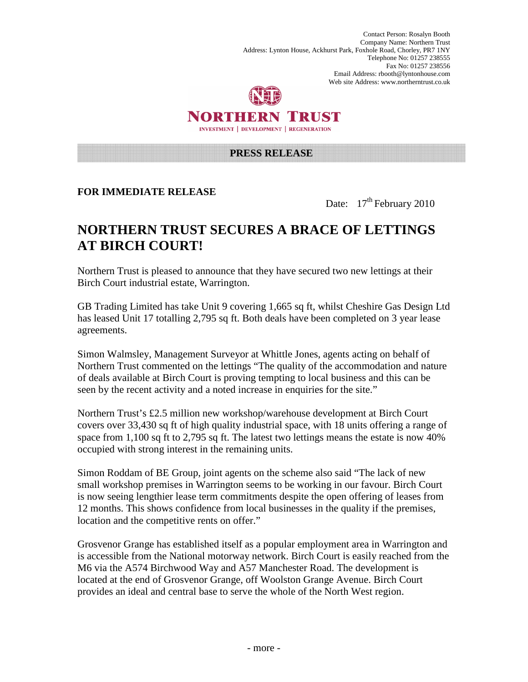Contact Person: Rosalyn Booth Company Name: Northern Trust Address: Lynton House, Ackhurst Park, Foxhole Road, Chorley, PR7 1NY Telephone No: 01257 238555 Fax No: 01257 238556 Email Address: rbooth@lyntonhouse.com Web site Address: www.northerntrust.co.uk



## NORTHERN TRUST INVESTMENT | DEVELOPMENT | REGENERATION

#### **PRESS RELEASE**

## **FOR IMMEDIATE RELEASE**

Date:  $17<sup>th</sup>$  February 2010

# **NORTHERN TRUST SECURES A BRACE OF LETTINGS AT BIRCH COURT!**

Northern Trust is pleased to announce that they have secured two new lettings at their Birch Court industrial estate, Warrington.

GB Trading Limited has take Unit 9 covering 1,665 sq ft, whilst Cheshire Gas Design Ltd has leased Unit 17 totalling 2,795 sq ft. Both deals have been completed on 3 year lease agreements.

Simon Walmsley, Management Surveyor at Whittle Jones, agents acting on behalf of Northern Trust commented on the lettings "The quality of the accommodation and nature of deals available at Birch Court is proving tempting to local business and this can be seen by the recent activity and a noted increase in enquiries for the site."

Northern Trust's £2.5 million new workshop/warehouse development at Birch Court covers over 33,430 sq ft of high quality industrial space, with 18 units offering a range of space from 1,100 sq ft to 2,795 sq ft. The latest two lettings means the estate is now 40% occupied with strong interest in the remaining units.

Simon Roddam of BE Group, joint agents on the scheme also said "The lack of new small workshop premises in Warrington seems to be working in our favour. Birch Court is now seeing lengthier lease term commitments despite the open offering of leases from 12 months. This shows confidence from local businesses in the quality if the premises, location and the competitive rents on offer."

Grosvenor Grange has established itself as a popular employment area in Warrington and is accessible from the National motorway network. Birch Court is easily reached from the M6 via the A574 Birchwood Way and A57 Manchester Road. The development is located at the end of Grosvenor Grange, off Woolston Grange Avenue. Birch Court provides an ideal and central base to serve the whole of the North West region.